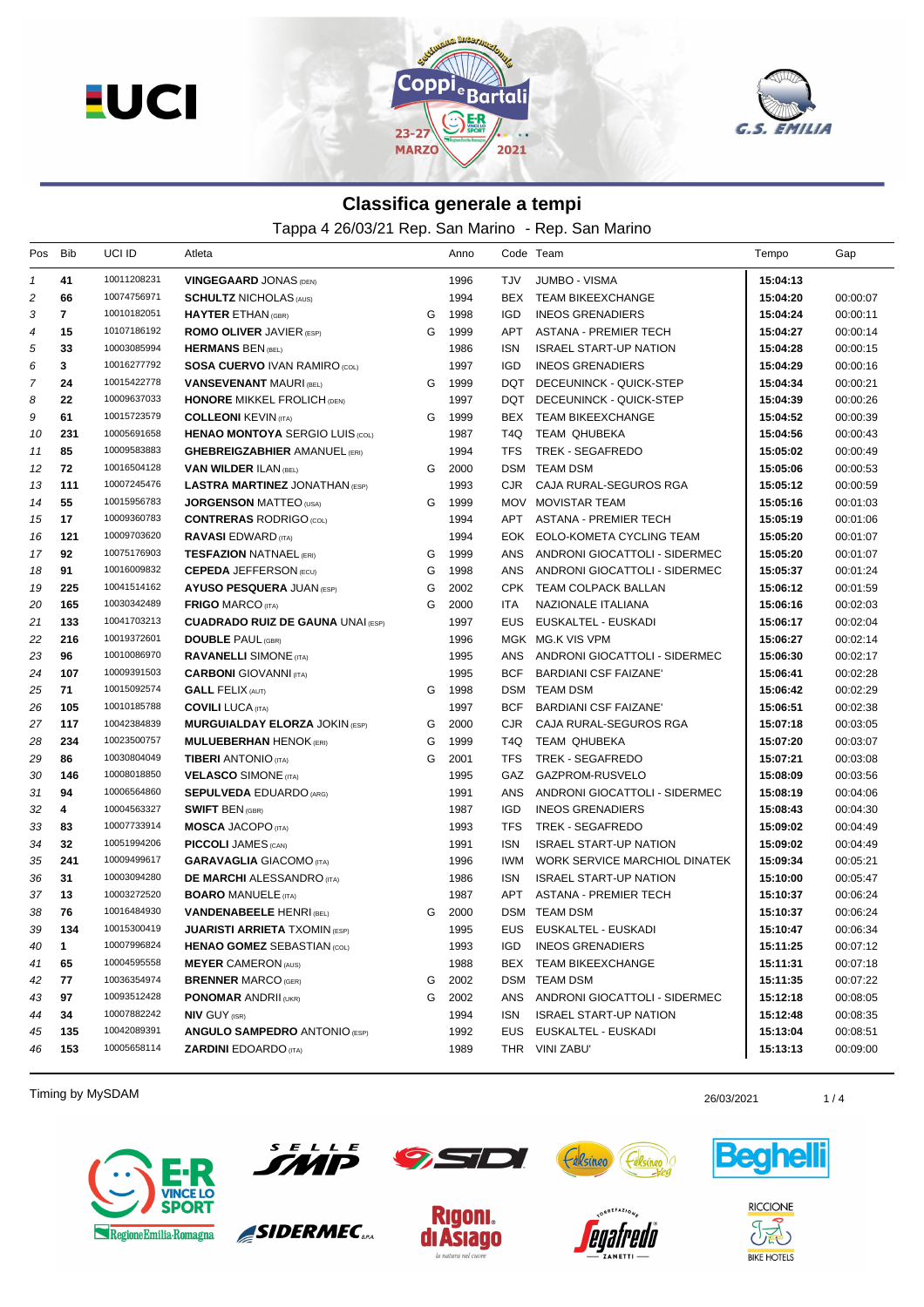**EUCI** 





## **Classifica generale a tempi**

Tappa 4 26/03/21 Rep. San Marino - Rep. San Marino

| Pos              | Bib          | UCI ID      | Atleta                                   |   | Anno |            | Code Team                     | Tempo    | Gap      |
|------------------|--------------|-------------|------------------------------------------|---|------|------------|-------------------------------|----------|----------|
| $\mathbf{1}$     | 41           | 10011208231 | <b>VINGEGAARD JONAS (DEN)</b>            |   | 1996 | <b>TJV</b> | JUMBO - VISMA                 | 15:04:13 |          |
| 2                | 66           | 10074756971 | <b>SCHULTZ NICHOLAS (AUS)</b>            |   | 1994 |            | BEX TEAM BIKEEXCHANGE         | 15:04:20 | 00:00:07 |
| 3                | $\mathbf{7}$ | 10010182051 | <b>HAYTER ETHAN (GBR)</b>                | G | 1998 | IGD        | <b>INEOS GRENADIERS</b>       | 15:04:24 | 00:00:11 |
| $\boldsymbol{4}$ | 15           | 10107186192 | <b>ROMO OLIVER JAVIER (ESP)</b>          | G | 1999 | APT        | ASTANA - PREMIER TECH         | 15:04:27 | 00:00:14 |
| 5                | 33           | 10003085994 | <b>HERMANS BEN (BEL)</b>                 |   | 1986 | ISN        | <b>ISRAEL START-UP NATION</b> | 15:04:28 | 00:00:15 |
| 6                | 3            | 10016277792 | <b>SOSA CUERVO IVAN RAMIRO (COL)</b>     |   | 1997 | IGD        | <b>INEOS GRENADIERS</b>       | 15:04:29 | 00:00:16 |
| 7                | 24           | 10015422778 | <b>VANSEVENANT MAURI (BEL)</b>           | G | 1999 | DQT        | DECEUNINCK - QUICK-STEP       | 15:04:34 | 00:00:21 |
| 8                | 22           | 10009637033 | <b>HONORE MIKKEL FROLICH (DEN)</b>       |   | 1997 |            | DQT DECEUNINCK - QUICK-STEP   | 15:04:39 | 00:00:26 |
| 9                | 61           | 10015723579 | <b>COLLEONI KEVIN (ITA)</b>              | G | 1999 |            | BEX TEAM BIKEEXCHANGE         | 15:04:52 | 00:00:39 |
| 10               | 231          | 10005691658 | <b>HENAO MONTOYA SERGIO LUIS (COL)</b>   |   | 1987 | T4Q        | <b>TEAM QHUBEKA</b>           | 15:04:56 | 00:00:43 |
| 11               | 85           | 10009583883 | <b>GHEBREIGZABHIER AMANUEL (ERI)</b>     |   | 1994 | <b>TFS</b> | TREK - SEGAFREDO              | 15:05:02 | 00:00:49 |
| 12               | 72           | 10016504128 | <b>VAN WILDER ILAN (BEL)</b>             | G | 2000 |            | <b>DSM TEAM DSM</b>           | 15:05:06 | 00:00:53 |
| 13               | 111          | 10007245476 | <b>LASTRA MARTINEZ JONATHAN (ESP)</b>    |   | 1993 | CJR.       | CAJA RURAL-SEGUROS RGA        | 15:05:12 | 00:00:59 |
| 14               | 55           | 10015956783 | <b>JORGENSON MATTEO (USA)</b>            | G | 1999 |            | MOV MOVISTAR TEAM             | 15:05:16 | 00:01:03 |
| 15               | 17           | 10009360783 | <b>CONTRERAS RODRIGO (COL)</b>           |   | 1994 |            | APT ASTANA - PREMIER TECH     | 15:05:19 | 00:01:06 |
| 16               | 121          | 10009703620 | <b>RAVASI EDWARD (ITA)</b>               |   | 1994 |            | EOK EOLO-KOMETA CYCLING TEAM  | 15:05:20 | 00:01:07 |
| 17               | 92           | 10075176903 | <b>TESFAZION NATNAEL (ERI)</b>           | G | 1999 | ANS        | ANDRONI GIOCATTOLI - SIDERMEC | 15:05:20 | 00:01:07 |
| 18               | 91           | 10016009832 | <b>CEPEDA JEFFERSON (ECU)</b>            | G | 1998 | ANS        | ANDRONI GIOCATTOLI - SIDERMEC | 15:05:37 | 00:01:24 |
| 19               | 225          | 10041514162 | <b>AYUSO PESQUERA JUAN (ESP)</b>         | G | 2002 |            | CPK TEAM COLPACK BALLAN       | 15:06:12 | 00:01:59 |
| 20               | 165          | 10030342489 | <b>FRIGO MARCO (ITA)</b>                 | G | 2000 | <b>ITA</b> | NAZIONALE ITALIANA            | 15:06:16 | 00:02:03 |
| 21               | 133          | 10041703213 | <b>CUADRADO RUIZ DE GAUNA UNAI (ESP)</b> |   | 1997 |            | EUS EUSKALTEL - EUSKADI       | 15:06:17 | 00:02:04 |
| 22               | 216          | 10019372601 | <b>DOUBLE PAUL (GBR)</b>                 |   | 1996 |            | MGK MG.K VIS VPM              | 15:06:27 | 00:02:14 |
| 23               | 96           | 10010086970 | <b>RAVANELLI SIMONE</b> (ITA)            |   | 1995 | ANS        | ANDRONI GIOCATTOLI - SIDERMEC | 15:06:30 | 00:02:17 |
| 24               | 107          | 10009391503 | <b>CARBONI</b> GIOVANNI (ITA)            |   | 1995 | <b>BCF</b> | <b>BARDIANI CSF FAIZANE'</b>  | 15:06:41 | 00:02:28 |
| 25               | 71           | 10015092574 | <b>GALL FELIX (AUT)</b>                  | G | 1998 |            | DSM TEAM DSM                  | 15:06:42 | 00:02:29 |
| 26               | 105          | 10010185788 | <b>COVILI LUCA (ITA)</b>                 |   | 1997 | <b>BCF</b> | <b>BARDIANI CSF FAIZANE'</b>  | 15:06:51 | 00:02:38 |
| 27               | 117          | 10042384839 | <b>MURGUIALDAY ELORZA JOKIN (ESP)</b>    | G | 2000 | CJR        | CAJA RURAL-SEGUROS RGA        | 15:07:18 | 00:03:05 |
| 28               | 234          | 10023500757 | <b>MULUEBERHAN HENOK (ERI)</b>           | G | 1999 | T4Q        | TEAM QHUBEKA                  | 15:07:20 | 00:03:07 |
| 29               | 86           | 10030804049 | <b>TIBERI</b> ANTONIO (ITA)              | G | 2001 | <b>TFS</b> | TREK - SEGAFREDO              | 15:07:21 | 00:03:08 |
| 30               | 146          | 10008018850 | <b>VELASCO SIMONE (ITA)</b>              |   | 1995 | GAZ        | GAZPROM-RUSVELO               | 15:08:09 | 00:03:56 |
| 31               | 94           | 10006564860 | <b>SEPULVEDA EDUARDO (ARG)</b>           |   | 1991 | ANS        | ANDRONI GIOCATTOLI - SIDERMEC | 15:08:19 | 00:04:06 |
| 32               | 4            | 10004563327 | <b>SWIFT BEN (GBR)</b>                   |   | 1987 | <b>IGD</b> | <b>INEOS GRENADIERS</b>       | 15:08:43 | 00:04:30 |
| 33               | 83           | 10007733914 | <b>MOSCA JACOPO (ITA)</b>                |   | 1993 | <b>TFS</b> | TREK - SEGAFREDO              | 15:09:02 | 00:04:49 |
| 34               | 32           | 10051994206 | <b>PICCOLI JAMES (CAN)</b>               |   | 1991 | ISN        | <b>ISRAEL START-UP NATION</b> | 15:09:02 | 00:04:49 |
| 35               | 241          | 10009499617 | <b>GARAVAGLIA GIACOMO (ITA)</b>          |   | 1996 | <b>IWM</b> | WORK SERVICE MARCHIOL DINATEK | 15:09:34 | 00:05:21 |
| 36               | 31           | 10003094280 | <b>DE MARCHI ALESSANDRO</b> (ITA)        |   | 1986 | <b>ISN</b> | <b>ISRAEL START-UP NATION</b> | 15:10:00 | 00:05:47 |
| 37               | 13           | 10003272520 | <b>BOARO MANUELE (ITA)</b>               |   | 1987 | APT        | ASTANA - PREMIER TECH         | 15:10:37 | 00:06:24 |
| 38               | 76           | 10016484930 | <b>VANDENABEELE HENRI (BEL)</b>          | G | 2000 |            | DSM TEAM DSM                  | 15:10:37 | 00:06:24 |
| 39               | 134          | 10015300419 | <b>JUARISTI ARRIETA TXOMIN (ESP)</b>     |   | 1995 |            | EUS EUSKALTEL - EUSKADI       | 15:10:47 | 00:06:34 |
| 40               | $\mathbf{1}$ | 10007996824 | <b>HENAO GOMEZ SEBASTIAN (COL)</b>       |   | 1993 | IGD        | <b>INEOS GRENADIERS</b>       | 15:11:25 | 00:07:12 |
| 41               | 65           | 10004595558 | <b>MEYER CAMERON (AUS)</b>               |   | 1988 |            | BEX TEAM BIKEEXCHANGE         | 15:11:31 | 00:07:18 |
| 42               | 77           | 10036354974 | <b>BRENNER MARCO (GER)</b>               | G | 2002 |            | DSM TEAM DSM                  | 15:11:35 | 00:07:22 |
| 43               | 97           | 10093512428 | <b>PONOMAR ANDRII (UKR)</b>              | G | 2002 | ANS        | ANDRONI GIOCATTOLI - SIDERMEC | 15:12:18 | 00:08:05 |
| 44               | 34           | 10007882242 | <b>NIV GUY (ISR)</b>                     |   | 1994 | ISN        | <b>ISRAEL START-UP NATION</b> | 15:12:48 | 00:08:35 |
| 45               | 135          | 10042089391 | <b>ANGULO SAMPEDRO ANTONIO (ESP)</b>     |   | 1992 | EUS        | EUSKALTEL - EUSKADI           | 15:13:04 | 00:08:51 |
| 46               | 153          | 10005658114 | <b>ZARDINI EDOARDO</b> (ITA)             |   | 1989 |            | THR VINI ZABU'                | 15:13:13 | 00:09:00 |

Timing by MySDAM 26/03/2021 26/03/2021 26/03/2021 26/03/2021 26/03/2021 26/03/2021





SIDERMEC<sub>SEA</sub>







**RICCIONE**  $\partial \vec{A}$ **BIKE HOTELS**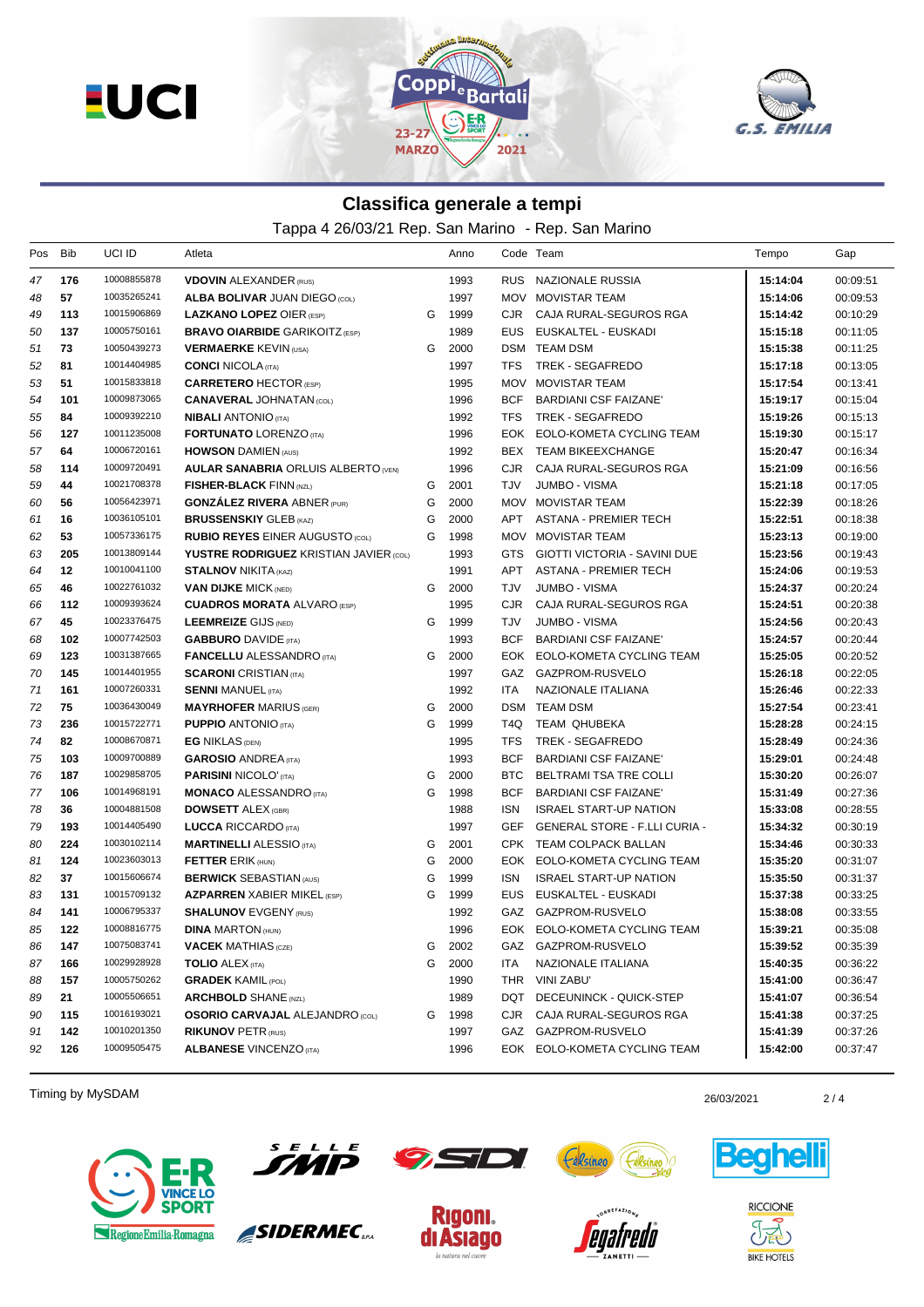**EUCI** 





## **Classifica generale a tempi**

Tappa 4 26/03/21 Rep. San Marino - Rep. San Marino

| Pos | Bib | UCI ID      | Atleta                                        |   | Anno |            | Code Team                            | Tempo    | Gap      |
|-----|-----|-------------|-----------------------------------------------|---|------|------------|--------------------------------------|----------|----------|
| 47  | 176 | 10008855878 | <b>VDOVIN ALEXANDER (RUS)</b>                 |   | 1993 |            | RUS NAZIONALE RUSSIA                 | 15:14:04 | 00:09:51 |
| 48  | 57  | 10035265241 | <b>ALBA BOLIVAR JUAN DIEGO (COL)</b>          |   | 1997 |            | MOV MOVISTAR TEAM                    | 15:14:06 | 00:09:53 |
| 49  | 113 | 10015906869 | <b>LAZKANO LOPEZ OIER (ESP)</b>               | G | 1999 | CJR        | CAJA RURAL-SEGUROS RGA               | 15:14:42 | 00:10:29 |
| 50  | 137 | 10005750161 | <b>BRAVO OIARBIDE GARIKOITZ (ESP)</b>         |   | 1989 |            | EUS EUSKALTEL - EUSKADI              | 15:15:18 | 00:11:05 |
| 51  | 73  | 10050439273 | <b>VERMAERKE KEVIN (USA)</b>                  | G | 2000 |            | DSM TEAM DSM                         | 15:15:38 | 00:11:25 |
| 52  | 81  | 10014404985 | <b>CONCI NICOLA (ITA)</b>                     |   | 1997 | TFS        | TREK - SEGAFREDO                     | 15:17:18 | 00:13:05 |
| 53  | 51  | 10015833818 | <b>CARRETERO HECTOR (ESP)</b>                 |   | 1995 | MOV        | <b>MOVISTAR TEAM</b>                 | 15:17:54 | 00:13:41 |
| 54  | 101 | 10009873065 | <b>CANAVERAL JOHNATAN (COL)</b>               |   | 1996 |            | BCF BARDIANI CSF FAIZANE'            | 15:19:17 | 00:15:04 |
| 55  | 84  | 10009392210 | <b>NIBALI ANTONIO (ITA)</b>                   |   | 1992 | TFS        | TREK - SEGAFREDO                     | 15:19:26 | 00:15:13 |
| 56  | 127 | 10011235008 | <b>FORTUNATO LORENZO (ITA)</b>                |   | 1996 |            | EOK EOLO-KOMETA CYCLING TEAM         | 15:19:30 | 00:15:17 |
| 57  | 64  | 10006720161 | <b>HOWSON DAMIEN (AUS)</b>                    |   | 1992 |            | BEX TEAM BIKEEXCHANGE                | 15:20:47 | 00:16:34 |
| 58  | 114 | 10009720491 | <b>AULAR SANABRIA ORLUIS ALBERTO (VEN)</b>    |   | 1996 | CJR        | CAJA RURAL-SEGUROS RGA               | 15:21:09 | 00:16:56 |
| 59  | 44  | 10021708378 | <b>FISHER-BLACK FINN (NZL)</b>                | G | 2001 | TJV        | <b>JUMBO - VISMA</b>                 | 15:21:18 | 00:17:05 |
| 60  | 56  | 10056423971 | <b>GONZALEZ RIVERA ABNER (PUR)</b>            | G | 2000 |            | MOV MOVISTAR TEAM                    | 15:22:39 | 00:18:26 |
| 61  | 16  | 10036105101 | <b>BRUSSENSKIY GLEB (KAZ)</b>                 | G | 2000 | APT        | ASTANA - PREMIER TECH                | 15:22:51 | 00:18:38 |
| 62  | 53  | 10057336175 | <b>RUBIO REYES EINER AUGUSTO (COL)</b>        | G | 1998 |            | MOV MOVISTAR TEAM                    | 15:23:13 | 00:19:00 |
| 63  | 205 | 10013809144 | <b>YUSTRE RODRIGUEZ KRISTIAN JAVIER (COL)</b> |   | 1993 | <b>GTS</b> | <b>GIOTTI VICTORIA - SAVINI DUE</b>  | 15:23:56 | 00:19:43 |
| 64  | 12  | 10010041100 | <b>STALNOV NIKITA (KAZ)</b>                   |   | 1991 | APT        | <b>ASTANA - PREMIER TECH</b>         | 15:24:06 | 00:19:53 |
| 65  | 46  | 10022761032 | <b>VAN DIJKE MICK (NED)</b>                   | G | 2000 | TJV        | <b>JUMBO - VISMA</b>                 | 15:24:37 | 00:20:24 |
| 66  | 112 | 10009393624 | <b>CUADROS MORATA ALVARO (ESP)</b>            |   | 1995 | CJR.       | CAJA RURAL-SEGUROS RGA               | 15:24:51 | 00:20:38 |
| 67  | 45  | 10023376475 | <b>LEEMREIZE GIJS (NED)</b>                   | G | 1999 | TJV        | <b>JUMBO - VISMA</b>                 | 15:24:56 | 00:20:43 |
| 68  | 102 | 10007742503 | <b>GABBURO</b> DAVIDE (ITA)                   |   | 1993 | <b>BCF</b> | <b>BARDIANI CSF FAIZANE'</b>         | 15:24:57 | 00:20:44 |
| 69  | 123 | 10031387665 | <b>FANCELLU</b> ALESSANDRO (ITA)              | G | 2000 |            | EOK EOLO-KOMETA CYCLING TEAM         | 15:25:05 | 00:20:52 |
| 70  | 145 | 10014401955 | <b>SCARONI</b> CRISTIAN (ITA)                 |   | 1997 |            | GAZ GAZPROM-RUSVELO                  | 15:26:18 | 00:22:05 |
| 71  | 161 | 10007260331 | <b>SENNI MANUEL (ITA)</b>                     |   | 1992 | <b>ITA</b> | NAZIONALE ITALIANA                   | 15:26:46 | 00:22:33 |
| 72  | 75  | 10036430049 | <b>MAYRHOFER MARIUS (GER)</b>                 | G | 2000 |            | DSM TEAM DSM                         | 15:27:54 | 00:23:41 |
| 73  | 236 | 10015722771 | <b>PUPPIO ANTONIO (ITA)</b>                   | G | 1999 |            | T4Q TEAM QHUBEKA                     | 15:28:28 | 00:24:15 |
| 74  | 82  | 10008670871 | <b>EG NIKLAS (DEN)</b>                        |   | 1995 | <b>TFS</b> | TREK - SEGAFREDO                     | 15:28:49 | 00:24:36 |
| 75  | 103 | 10009700889 | <b>GAROSIO ANDREA</b> (ITA)                   |   | 1993 | BCF        | <b>BARDIANI CSF FAIZANE'</b>         | 15:29:01 | 00:24:48 |
| 76  | 187 | 10029858705 | <b>PARISINI NICOLO' (ITA)</b>                 | G | 2000 | BTC.       | BELTRAMI TSA TRE COLLI               | 15:30:20 | 00:26:07 |
| 77  | 106 | 10014968191 | <b>MONACO ALESSANDRO (ITA)</b>                | G | 1998 | <b>BCF</b> | <b>BARDIANI CSF FAIZANE'</b>         | 15:31:49 | 00:27:36 |
| 78  | 36  | 10004881508 | <b>DOWSETT ALEX (GBR)</b>                     |   | 1988 | <b>ISN</b> | <b>ISRAEL START-UP NATION</b>        | 15:33:08 | 00:28:55 |
| 79  | 193 | 10014405490 | <b>LUCCA RICCARDO</b> (ITA)                   |   | 1997 | GEF        | <b>GENERAL STORE - F.LLI CURIA -</b> | 15:34:32 | 00:30:19 |
| 80  | 224 | 10030102114 | <b>MARTINELLI ALESSIO (ITA)</b>               | G | 2001 |            | CPK TEAM COLPACK BALLAN              | 15:34:46 | 00:30:33 |
| 81  | 124 | 10023603013 | <b>FETTER ERIK (HUN)</b>                      | G | 2000 |            | EOK EOLO-KOMETA CYCLING TEAM         | 15:35:20 | 00:31:07 |
| 82  | 37  | 10015606674 | <b>BERWICK SEBASTIAN (AUS)</b>                | G | 1999 | <b>ISN</b> | <b>ISRAEL START-UP NATION</b>        | 15:35:50 | 00:31:37 |
| 83  | 131 | 10015709132 | <b>AZPARREN</b> XABIER MIKEL (ESP)            | G | 1999 | <b>EUS</b> | EUSKALTEL - EUSKADI                  | 15:37:38 | 00:33:25 |
| 84  | 141 | 10006795337 | <b>SHALUNOV EVGENY (RUS)</b>                  |   | 1992 |            | GAZ GAZPROM-RUSVELO                  | 15:38:08 | 00:33:55 |
| 85  | 122 | 10008816775 | <b>DINA MARTON (HUN)</b>                      |   | 1996 |            | EOK EOLO-KOMETA CYCLING TEAM         | 15:39:21 | 00:35:08 |
| 86  | 147 | 10075083741 | <b>VACEK MATHIAS (CZE)</b>                    | G | 2002 |            | GAZ GAZPROM-RUSVELO                  | 15:39:52 | 00:35:39 |
| 87  | 166 | 10029928928 | <b>TOLIO ALEX (ITA)</b>                       | G | 2000 | ITA        | NAZIONALE ITALIANA                   | 15:40:35 | 00:36:22 |
| 88  | 157 | 10005750262 | <b>GRADEK KAMIL (POL)</b>                     |   | 1990 | THR        | <b>VINI ZABU'</b>                    | 15:41:00 | 00:36:47 |
| 89  | 21  | 10005506651 | <b>ARCHBOLD SHANE</b> (NZL)                   |   | 1989 | DQT        | DECEUNINCK - QUICK-STEP              | 15:41:07 | 00:36:54 |
| 90  | 115 | 10016193021 | <b>OSORIO CARVAJAL ALEJANDRO (COL)</b>        | G | 1998 | CJR        | CAJA RURAL-SEGUROS RGA               | 15:41:38 | 00:37:25 |
| 91  | 142 | 10010201350 | <b>RIKUNOV PETR (RUS)</b>                     |   | 1997 |            | GAZ GAZPROM-RUSVELO                  | 15:41:39 | 00:37:26 |
| 92  | 126 | 10009505475 | <b>ALBANESE VINCENZO (ITA)</b>                |   | 1996 |            | EOK EOLO-KOMETA CYCLING TEAM         | 15:42:00 | 00:37:47 |
|     |     |             |                                               |   |      |            |                                      |          |          |

Timing by MySDAM 2/4

Regione Emilia-Romagna



SIDERMEC<sub>SEA</sub>









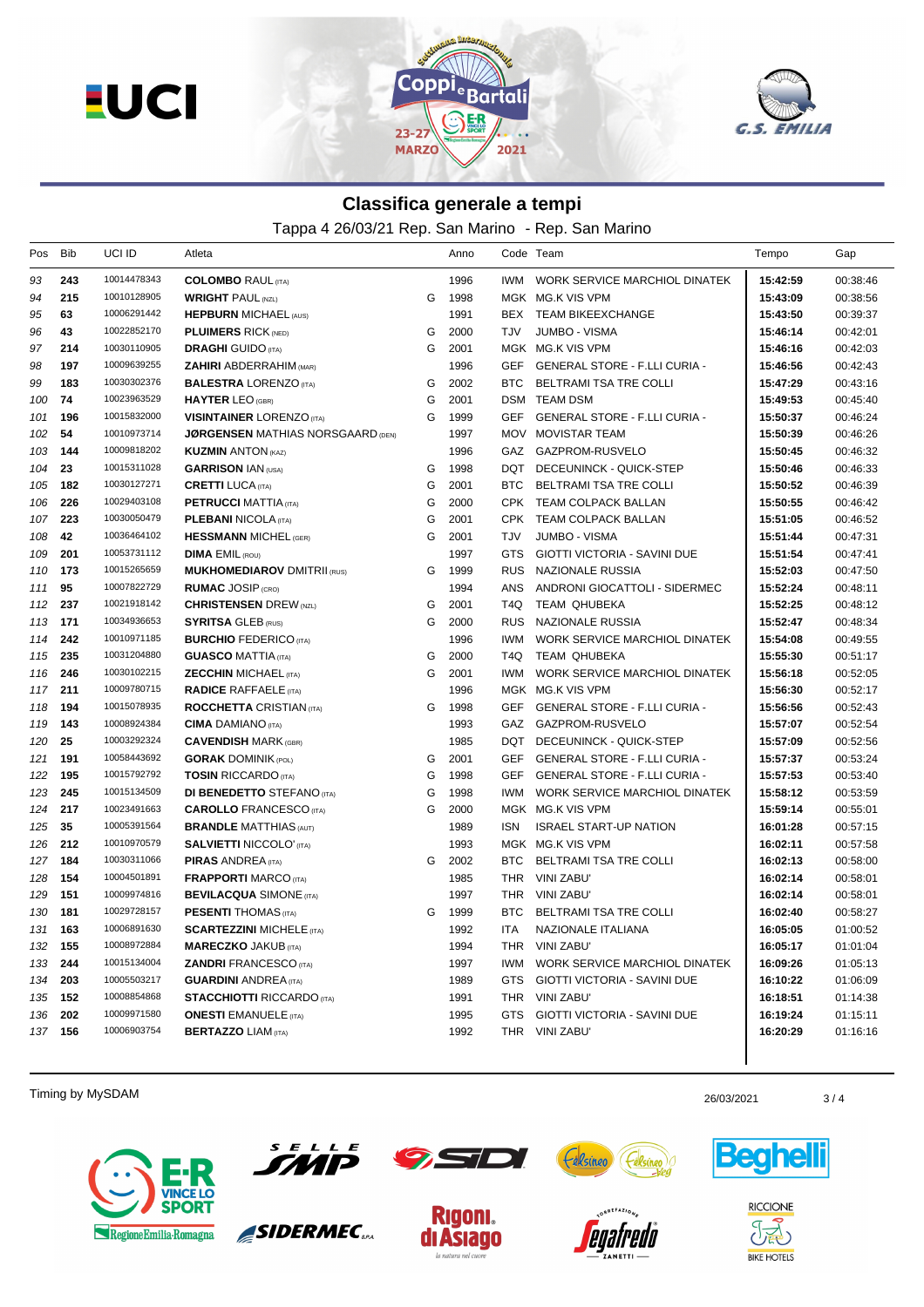**EUCI** 





## **Classifica generale a tempi**

Tappa 4 26/03/21 Rep. San Marino - Rep. San Marino

| Pos     | Bib | UCI ID      | Atleta                                   |   | Anno |            | Code Team                            | Tempo    | Gap      |
|---------|-----|-------------|------------------------------------------|---|------|------------|--------------------------------------|----------|----------|
| 93      | 243 | 10014478343 | <b>COLOMBO</b> RAUL (ITA)                |   | 1996 | IWM        | WORK SERVICE MARCHIOL DINATEK        | 15:42:59 | 00:38:46 |
| 94      | 215 | 10010128905 | <b>WRIGHT PAUL (NZL)</b>                 | G | 1998 |            | MGK MG.K VIS VPM                     | 15:43:09 | 00:38:56 |
| 95      | 63  | 10006291442 | <b>HEPBURN MICHAEL (AUS)</b>             |   | 1991 |            | BEX TEAM BIKEEXCHANGE                | 15:43:50 | 00:39:37 |
| 96      | 43  | 10022852170 | <b>PLUIMERS RICK (NED)</b>               | G | 2000 | TJV        | JUMBO - VISMA                        | 15:46:14 | 00:42:01 |
| 97      | 214 | 10030110905 | <b>DRAGHI</b> GUIDO (ITA)                | G | 2001 |            | MGK MG.K VIS VPM                     | 15:46:16 | 00:42:03 |
| 98      | 197 | 10009639255 | <b>ZAHIRI ABDERRAHIM (MAR)</b>           |   | 1996 |            | GEF GENERAL STORE - F.LLI CURIA -    | 15:46:56 | 00:42:43 |
| 99      | 183 | 10030302376 | <b>BALESTRA LORENZO</b> (ITA)            | G | 2002 | BTC.       | BELTRAMI TSA TRE COLLI               | 15:47:29 | 00:43:16 |
| 100     | 74  | 10023963529 | <b>HAYTER LEO (GBR)</b>                  | G | 2001 |            | DSM TEAM DSM                         | 15:49:53 | 00:45:40 |
| 101     | 196 | 10015832000 | <b>VISINTAINER LORENZO (ITA)</b>         | G | 1999 |            | GEF GENERAL STORE - F.LLI CURIA -    | 15:50:37 | 00:46:24 |
| 102     | 54  | 10010973714 | <b>JØRGENSEN MATHIAS NORSGAARD (DEN)</b> |   | 1997 |            | MOV MOVISTAR TEAM                    | 15:50:39 | 00:46:26 |
| 103     | 144 | 10009818202 | <b>KUZMIN ANTON (KAZ)</b>                |   | 1996 |            | GAZ GAZPROM-RUSVELO                  | 15:50:45 | 00:46:32 |
| 104     | 23  | 10015311028 | <b>GARRISON IAN (USA)</b>                | G | 1998 |            | DQT DECEUNINCK - QUICK-STEP          | 15:50:46 | 00:46:33 |
| 105     | 182 | 10030127271 | <b>CRETTI LUCA</b> (ITA)                 | G | 2001 | BTC.       | BELTRAMI TSA TRE COLLI               | 15:50:52 | 00:46:39 |
| 106     | 226 | 10029403108 | <b>PETRUCCI MATTIA (ITA)</b>             | G | 2000 |            | CPK TEAM COLPACK BALLAN              | 15:50:55 | 00:46:42 |
| 107     | 223 | 10030050479 | <b>PLEBANI NICOLA (ITA)</b>              | G | 2001 |            | CPK TEAM COLPACK BALLAN              | 15:51:05 | 00:46:52 |
| 108     | 42  | 10036464102 | <b>HESSMANN MICHEL (GER)</b>             | G | 2001 | TJV        | <b>JUMBO - VISMA</b>                 | 15:51:44 | 00:47:31 |
| 109     | 201 | 10053731112 | <b>DIMA EMIL (ROU)</b>                   |   | 1997 | GTS.       | GIOTTI VICTORIA - SAVINI DUE         | 15:51:54 | 00:47:41 |
| 110     | 173 | 10015265659 | <b>MUKHOMEDIAROV DMITRII (RUS)</b>       | G | 1999 |            | RUS NAZIONALE RUSSIA                 | 15:52:03 | 00:47:50 |
| 111     | 95  | 10007822729 | <b>RUMAC JOSIP (CRO)</b>                 |   | 1994 | <b>ANS</b> | ANDRONI GIOCATTOLI - SIDERMEC        | 15:52:24 | 00:48:11 |
| 112     | 237 | 10021918142 | <b>CHRISTENSEN</b> DREW (NZL)            | G | 2001 | T4Q        | TEAM QHUBEKA                         | 15:52:25 | 00:48:12 |
| 113     | 171 | 10034936653 | <b>SYRITSA GLEB (RUS)</b>                | G | 2000 |            | RUS NAZIONALE RUSSIA                 | 15:52:47 | 00:48:34 |
| 114     | 242 | 10010971185 | <b>BURCHIO FEDERICO (ITA)</b>            |   | 1996 | IWM.       | WORK SERVICE MARCHIOL DINATEK        | 15:54:08 | 00:49:55 |
| 115     | 235 | 10031204880 | <b>GUASCO MATTIA (ITA)</b>               | G | 2000 | T4Q        | TEAM QHUBEKA                         | 15:55:30 | 00:51:17 |
| 116     | 246 | 10030102215 | <b>ZECCHIN MICHAEL (ITA)</b>             | G | 2001 | IWM.       | WORK SERVICE MARCHIOL DINATEK        | 15:56:18 | 00:52:05 |
| 117     | 211 | 10009780715 | <b>RADICE RAFFAELE</b> (ITA)             |   | 1996 |            | MGK MG.K VIS VPM                     | 15:56:30 | 00:52:17 |
| 118     | 194 | 10015078935 | <b>ROCCHETTA CRISTIAN (ITA)</b>          | G | 1998 | <b>GEF</b> | GENERAL STORE - F.LLI CURIA -        | 15:56:56 | 00:52:43 |
| 119     | 143 | 10008924384 | <b>CIMA</b> DAMIANO (ITA)                |   | 1993 |            | GAZ GAZPROM-RUSVELO                  | 15:57:07 | 00:52:54 |
| 120     | 25  | 10003292324 | <b>CAVENDISH MARK (GBR)</b>              |   | 1985 |            | DQT DECEUNINCK - QUICK-STEP          | 15:57:09 | 00:52:56 |
| 121     | 191 | 10058443692 | <b>GORAK DOMINIK (POL)</b>               | G | 2001 | GEF        | GENERAL STORE - F.LLI CURIA -        | 15:57:37 | 00:53:24 |
| 122     | 195 | 10015792792 | <b>TOSIN RICCARDO</b> (ITA)              | G | 1998 | GEF        | <b>GENERAL STORE - F.LLI CURIA -</b> | 15:57:53 | 00:53:40 |
| 123     | 245 | 10015134509 | <b>DI BENEDETTO</b> STEFANO (ITA)        | G | 1998 | IWM.       | WORK SERVICE MARCHIOL DINATEK        | 15:58:12 | 00:53:59 |
| 124     | 217 | 10023491663 | <b>CAROLLO</b> FRANCESCO (ITA)           | G | 2000 |            | MGK MG.K VIS VPM                     | 15:59:14 | 00:55:01 |
| 125     | 35  | 10005391564 | <b>BRANDLE MATTHIAS (AUT)</b>            |   | 1989 | <b>ISN</b> | <b>ISRAEL START-UP NATION</b>        | 16:01:28 | 00:57:15 |
| 126     | 212 | 10010970579 | <b>SALVIETTI NICCOLO' (ITA)</b>          |   | 1993 |            | MGK MG.K VIS VPM                     | 16:02:11 | 00:57:58 |
| 127     | 184 | 10030311066 | <b>PIRAS ANDREA</b> (ITA)                | G | 2002 | BTC        | BELTRAMI TSA TRE COLLI               | 16:02:13 | 00:58:00 |
| 128     | 154 | 10004501891 | <b>FRAPPORTI MARCO (ITA)</b>             |   | 1985 |            | THR VINI ZABU'                       | 16:02:14 | 00:58:01 |
| 129     | 151 | 10009974816 | <b>BEVILACQUA SIMONE (ITA)</b>           |   | 1997 |            | THR VINI ZABU'                       | 16:02:14 | 00:58:01 |
| 130     | 181 | 10029728157 | <b>PESENTI THOMAS</b> (ITA)              | G | 1999 | BTC.       | BELTRAMI TSA TRE COLLI               | 16:02:40 | 00:58:27 |
| 131 163 |     | 10006891630 | <b>SCARTEZZINI MICHELE (ITA)</b>         |   | 1992 | ITA        | NAZIONALE ITALIANA                   | 16:05:05 | 01:00:52 |
| 132 155 |     | 10008972884 | <b>MARECZKO JAKUB (ITA)</b>              |   | 1994 |            | THR VINI ZABU'                       | 16:05:17 | 01:01:04 |
| 133 244 |     | 10015134004 | <b>ZANDRI FRANCESCO (ITA)</b>            |   | 1997 |            | IWM WORK SERVICE MARCHIOL DINATEK    | 16:09:26 | 01:05:13 |
| 134 203 |     | 10005503217 | <b>GUARDINI ANDREA (ITA)</b>             |   | 1989 |            | GTS GIOTTI VICTORIA - SAVINI DUE     | 16:10:22 | 01:06:09 |
| 135 152 |     | 10008854868 | <b>STACCHIOTTI RICCARDO (ITA)</b>        |   | 1991 |            | THR VINI ZABU'                       | 16:18:51 | 01:14:38 |
| 136     | 202 | 10009971580 | <b>ONESTI</b> EMANUELE (ITA)             |   | 1995 |            | GTS GIOTTI VICTORIA - SAVINI DUE     | 16:19:24 | 01:15:11 |
| 137 156 |     | 10006903754 | <b>BERTAZZO LIAM (ITA)</b>               |   | 1992 |            | THR VINI ZABU'                       | 16:20:29 | 01:16:16 |
|         |     |             |                                          |   |      |            |                                      |          |          |

Timing by MySDAM 26/03/2021 26/03/2021 26/03/2021 26/03/2021 26/03/2021 26/03/2021





SIDERMEC<sub>SEA</sub>



la na